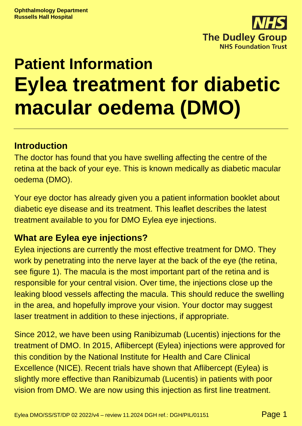

# **Patient Information Eylea treatment for diabetic macular oedema (DMO)**

#### **Introduction**

The doctor has found that you have swelling affecting the centre of the retina at the back of your eye. This is known medically as diabetic macular oedema (DMO).

Your eye doctor has already given you a patient information booklet about diabetic eye disease and its treatment. This leaflet describes the latest treatment available to you for DMO Eylea eye injections.

#### **What are Eylea eye injections?**

Eylea injections are currently the most effective treatment for DMO. They work by penetrating into the nerve layer at the back of the eye (the retina, see figure 1). The macula is the most important part of the retina and is responsible for your central vision. Over time, the injections close up the leaking blood vessels affecting the macula. This should reduce the swelling in the area, and hopefully improve your vision. Your doctor may suggest laser treatment in addition to these injections, if appropriate.

Since 2012, we have been using Ranibizumab (Lucentis) injections for the treatment of DMO. In 2015, Aflibercept (Eylea) injections were approved for this condition by the National Institute for Health and Care Clinical Excellence (NICE). Recent trials have shown that Aflibercept (Eylea) is slightly more effective than Ranibizumab (Lucentis) in patients with poor vision from DMO. We are now using this injection as first line treatment.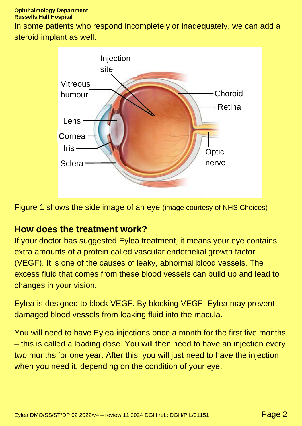#### **Ophthalmology Department Russells Hall Hospital**

In some patients who respond incompletely or inadequately, we can add a steroid implant as well.



Figure 1 shows the side image of an eye (image courtesy of NHS Choices)

#### **How does the treatment work?**

If your doctor has suggested Eylea treatment, it means your eye contains extra amounts of a protein called vascular endothelial growth factor (VEGF). It is one of the causes of leaky, abnormal blood vessels. The excess fluid that comes from these blood vessels can build up and lead to changes in your vision.

Eylea is designed to block VEGF. By blocking VEGF, Eylea may prevent damaged blood vessels from leaking fluid into the macula.

You will need to have Eylea injections once a month for the first five months – this is called a loading dose. You will then need to have an injection every two months for one year. After this, you will just need to have the injection when you need it, depending on the condition of your eye.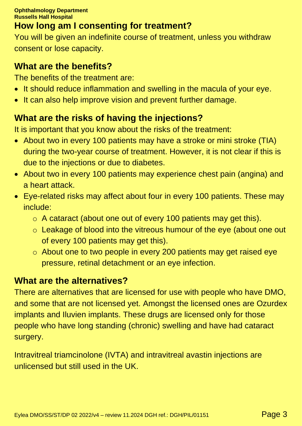## **How long am I consenting for treatment?**

You will be given an indefinite course of treatment, unless you withdraw consent or lose capacity.

#### **What are the benefits?**

The benefits of the treatment are:

- It should reduce inflammation and swelling in the macula of your eye.
- It can also help improve vision and prevent further damage.

## **What are the risks of having the injections?**

It is important that you know about the risks of the treatment:

- About two in every 100 patients may have a stroke or mini stroke (TIA) during the two-year course of treatment. However, it is not clear if this is due to the injections or due to diabetes.
- About two in every 100 patients may experience chest pain (angina) and a heart attack.
- Eye-related risks may affect about four in every 100 patients. These may include:
	- o A cataract (about one out of every 100 patients may get this).
	- o Leakage of blood into the vitreous humour of the eye (about one out of every 100 patients may get this).
	- o About one to two people in every 200 patients may get raised eye pressure, retinal detachment or an eye infection.

#### **What are the alternatives?**

There are alternatives that are licensed for use with people who have DMO, and some that are not licensed yet. Amongst the licensed ones are Ozurdex implants and Iluvien implants. These drugs are licensed only for those people who have long standing (chronic) swelling and have had cataract surgery.

Intravitreal triamcinolone (IVTA) and intravitreal avastin injections are unlicensed but still used in the UK.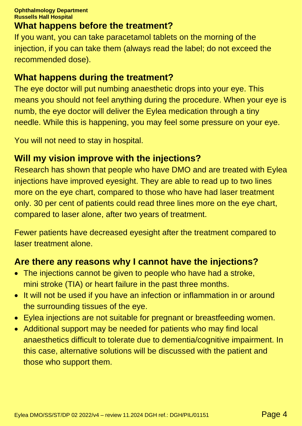#### **What happens before the treatment?**

If you want, you can take paracetamol tablets on the morning of the injection, if you can take them (always read the label; do not exceed the recommended dose).

#### **What happens during the treatment?**

The eye doctor will put numbing anaesthetic drops into your eye. This means you should not feel anything during the procedure. When your eye is numb, the eye doctor will deliver the Eylea medication through a tiny needle. While this is happening, you may feel some pressure on your eye.

You will not need to stay in hospital.

#### **Will my vision improve with the injections?**

Research has shown that people who have DMO and are treated with Eylea injections have improved eyesight. They are able to read up to two lines more on the eye chart, compared to those who have had laser treatment only. 30 per cent of patients could read three lines more on the eye chart, compared to laser alone, after two years of treatment.

Fewer patients have decreased eyesight after the treatment compared to laser treatment alone.

#### **Are there any reasons why I cannot have the injections?**

- The injections cannot be given to people who have had a stroke, mini stroke (TIA) or heart failure in the past three months.
- It will not be used if you have an infection or inflammation in or around the surrounding tissues of the eye.
- Eylea injections are not suitable for pregnant or breastfeeding women.
- Additional support may be needed for patients who may find local anaesthetics difficult to tolerate due to dementia/cognitive impairment. In this case, alternative solutions will be discussed with the patient and those who support them.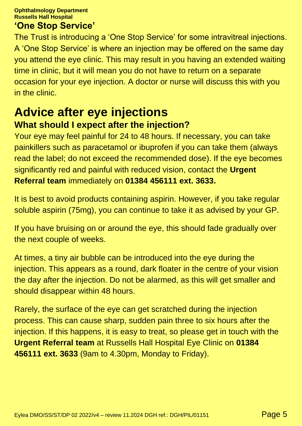**Ophthalmology Department Russells Hall Hospital**

#### **'One Stop Service'**

The Trust is introducing a 'One Stop Service' for some intravitreal injections. A 'One Stop Service' is where an injection may be offered on the same day you attend the eye clinic. This may result in you having an extended waiting time in clinic, but it will mean you do not have to return on a separate occasion for your eye injection. A doctor or nurse will discuss this with you in the clinic.

## **Advice after eye injections What should I expect after the injection?**

Your eye may feel painful for 24 to 48 hours. If necessary, you can take painkillers such as paracetamol or ibuprofen if you can take them (always read the label; do not exceed the recommended dose). If the eye becomes significantly red and painful with reduced vision, contact the **Urgent Referral team** immediately on **01384 456111 ext. 3633.**

It is best to avoid products containing aspirin. However, if you take regular soluble aspirin (75mg), you can continue to take it as advised by your GP.

If you have bruising on or around the eye, this should fade gradually over the next couple of weeks.

At times, a tiny air bubble can be introduced into the eye during the injection. This appears as a round, dark floater in the centre of your vision the day after the injection. Do not be alarmed, as this will get smaller and should disappear within 48 hours.

Rarely, the surface of the eye can get scratched during the injection process. This can cause sharp, sudden pain three to six hours after the injection. If this happens, it is easy to treat, so please get in touch with the **Urgent Referral team** at Russells Hall Hospital Eye Clinic on **01384 456111 ext. 3633** (9am to 4.30pm, Monday to Friday).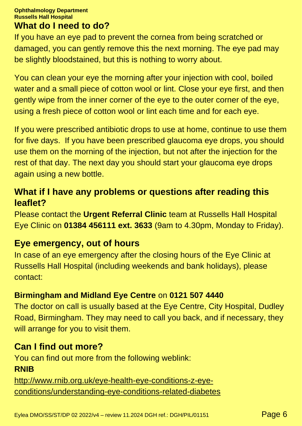#### **Ophthalmology Department Russells Hall Hospital What do I need to do?**

If you have an eye pad to prevent the cornea from being scratched or damaged, you can gently remove this the next morning. The eye pad may be slightly bloodstained, but this is nothing to worry about.

You can clean your eye the morning after your injection with cool, boiled water and a small piece of cotton wool or lint. Close your eye first, and then gently wipe from the inner corner of the eye to the outer corner of the eye, using a fresh piece of cotton wool or lint each time and for each eye.

If you were prescribed antibiotic drops to use at home, continue to use them for five days. If you have been prescribed glaucoma eye drops, you should use them on the morning of the injection, but not after the injection for the rest of that day. The next day you should start your glaucoma eye drops again using a new bottle.

#### **What if I have any problems or questions after reading this leaflet?**

Please contact the **Urgent Referral Clinic** team at Russells Hall Hospital Eye Clinic on **01384 456111 ext. 3633** (9am to 4.30pm, Monday to Friday).

#### **Eye emergency, out of hours**

In case of an eye emergency after the closing hours of the Eye Clinic at Russells Hall Hospital (including weekends and bank holidays), please contact:

#### **Birmingham and Midland Eye Centre** on **0121 507 4440**

The doctor on call is usually based at the Eye Centre, City Hospital, Dudley Road, Birmingham. They may need to call you back, and if necessary, they will arrange for you to visit them.

## **Can I find out more?**

You can find out more from the following weblink: **RNIB**

[http://www.rnib.org.uk/eye-health-eye-conditions-z-eye](http://www.rnib.org.uk/eye-health-eye-conditions-z-eye-conditions/understanding-eye-conditions-related-diabetes)[conditions/understanding-eye-conditions-related-diabetes](http://www.rnib.org.uk/eye-health-eye-conditions-z-eye-conditions/understanding-eye-conditions-related-diabetes)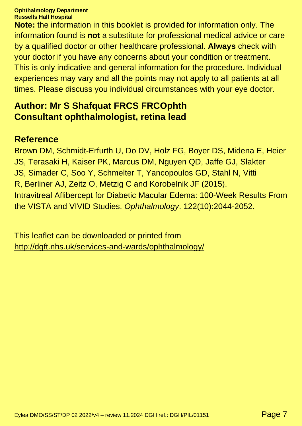#### **Ophthalmology Department Russells Hall Hospital**

**Note:** the information in this booklet is provided for information only. The information found is **not** a substitute for professional medical advice or care by a qualified doctor or other healthcare professional. **Always** check with your doctor if you have any concerns about your condition or treatment. This is only indicative and general information for the procedure. Individual experiences may vary and all the points may not apply to all patients at all times. Please discuss you individual circumstances with your eye doctor.

#### **Author: Mr S Shafquat FRCS FRCOphth Consultant ophthalmologist, retina lead**

#### **Reference**

Brown DM, Schmidt-Erfurth U, Do DV, Holz FG, Boyer DS, Midena E, Heier JS, Terasaki H, Kaiser PK, Marcus DM, Nguyen QD, Jaffe GJ, Slakter JS, Simader C, Soo Y, Schmelter T, Yancopoulos GD, Stahl N, Vitti R, Berliner AJ, Zeitz O, Metzig C and Korobelnik JF (2015). Intravitreal Aflibercept for Diabetic Macular Edema: 100-Week Results From the VISTA and VIVID Studies. *Ophthalmology*. 122(10):2044-2052.

This leaflet can be downloaded or printed from <http://dgft.nhs.uk/services-and-wards/ophthalmology/>